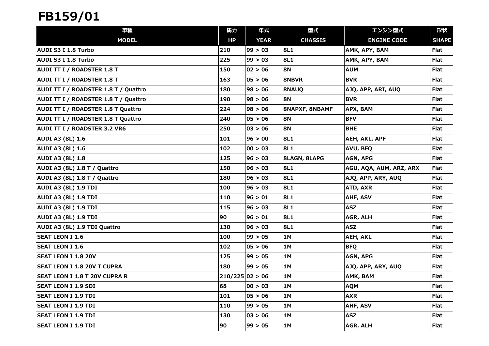| 車種                                        | 馬力              | 年式          | 型式                    | エンジン型式                  | 形状           |
|-------------------------------------------|-----------------|-------------|-----------------------|-------------------------|--------------|
| <b>MODEL</b>                              | HP              | <b>YEAR</b> | <b>CHASSIS</b>        | <b>ENGINE CODE</b>      | <b>SHAPE</b> |
| AUDI S3 I 1.8 Turbo                       | 210             | 99 > 03     | <b>8L1</b>            | AMK, APY, BAM           | Flat         |
| AUDI S3 I 1.8 Turbo                       | 225             | 99 > 03     | 8L1                   | AMK, APY, BAM           | <b>Flat</b>  |
| AUDI TT I / ROADSTER 1.8 T                | 150             | 02 > 06     | <b>8N</b>             | <b>AUM</b>              | Flat         |
| <b>AUDI TT I / ROADSTER 1.8 T</b>         | 163             | 05 > 06     | <b>8NBVR</b>          | <b>BVR</b>              | <b>Flat</b>  |
| AUDI TT I / ROADSTER 1.8 T / Quattro      | 180             | 98 > 06     | 8NAUQ                 | AJQ, APP, ARI, AUQ      | Flat         |
| AUDI TT I / ROADSTER 1.8 T / Quattro      | 190             | 98 > 06     | <b>8N</b>             | <b>BVR</b>              | Flat         |
| <b>AUDI TT I / ROADSTER 1.8 T Quattro</b> | 224             | 98 > 06     | <b>8NAPXF, 8NBAMF</b> | APX, BAM                | Flat         |
| <b>AUDI TT I / ROADSTER 1.8 T Quattro</b> | 240             | 05 > 06     | <b>8N</b>             | <b>BFV</b>              | <b>Flat</b>  |
| <b>AUDI TT I / ROADSTER 3.2 VR6</b>       | 250             | 03 > 06     | <b>8N</b>             | <b>BHE</b>              | <b>Flat</b>  |
| <b>AUDI A3 (8L) 1.6</b>                   | 101             | 96 > 00     | <b>8L1</b>            | AEH, AKL, APF           | <b>Flat</b>  |
| <b>AUDI A3 (8L) 1.6</b>                   | 102             | 00 > 03     | <b>8L1</b>            | AVU, BFQ                | Flat         |
| <b>AUDI A3 (8L) 1.8</b>                   | 125             | 96 > 03     | <b>8LAGN, 8LAPG</b>   | AGN, APG                | <b>Flat</b>  |
| AUDI A3 (8L) 1.8 T / Quattro              | 150             | 96 > 03     | <b>8L1</b>            | AGU, AQA, AUM, ARZ, ARX | <b>Flat</b>  |
| AUDI A3 (8L) 1.8 T / Quattro              | 180             | 96 > 03     | <b>8L1</b>            | AJQ, APP, ARY, AUQ      | <b>Flat</b>  |
| AUDI A3 (8L) 1.9 TDI                      | 100             | 96 > 03     | <b>8L1</b>            | ATD, AXR                | <b>Flat</b>  |
| AUDI A3 (8L) 1.9 TDI                      | 110             | 96 > 01     | 8L1                   | AHF, ASV                | Flat         |
| AUDI A3 (8L) 1.9 TDI                      | 115             | 96 > 03     | <b>8L1</b>            | <b>ASZ</b>              | Flat         |
| AUDI A3 (8L) 1.9 TDI                      | 90              | 96 > 01     | 8L1                   | AGR, ALH                | <b>Flat</b>  |
| AUDI A3 (8L) 1.9 TDI Quattro              | 130             | 96 > 03     | 8L1                   | <b>ASZ</b>              | <b>Flat</b>  |
| <b>SEAT LEON I 1.6</b>                    | 100             | 99 > 05     | 1M                    | <b>AEH, AKL</b>         | Flat         |
| <b>SEAT LEON I 1.6</b>                    | 102             | 05 > 06     | 1M                    | <b>BFQ</b>              | <b>Flat</b>  |
| <b>SEAT LEON I 1.8 20V</b>                | 125             | 99 > 05     | 1M                    | AGN, APG                | Flat         |
| <b>SEAT LEON I 1.8 20V T CUPRA</b>        | 180             | 99 > 05     | 1M                    | AJQ, APP, ARY, AUQ      | <b>Flat</b>  |
| <b>SEAT LEON I 1.8 T 20V CUPRA R</b>      | 210/225 02 > 06 |             | 1M                    | AMK, BAM                | <b>Flat</b>  |
| <b>SEAT LEON I 1.9 SDI</b>                | 68              | 00 > 03     | 1M                    | <b>AQM</b>              | <b>Flat</b>  |
| SEAT LEON I 1.9 TDI                       | 101             | 05 > 06     | 1M                    | <b>AXR</b>              | <b>Flat</b>  |
| <b>SEAT LEON I 1.9 TDI</b>                | 110             | 99 > 05     | 1M                    | AHF, ASV                | <b>Flat</b>  |
| <b>SEAT LEON I 1.9 TDI</b>                | 130             | 03 > 06     | 1M                    | <b>ASZ</b>              | <b>Flat</b>  |
| <b>SEAT LEON I 1.9 TDI</b>                | 90              | 99 > 05     | 1M                    | AGR, ALH                | <b>Flat</b>  |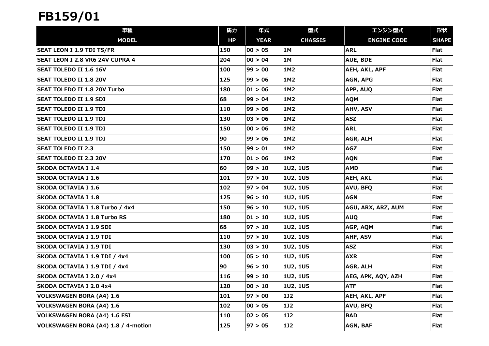| 車種                                     | 馬力  | 年式          | 型式              | エンジン型式               | 形状           |
|----------------------------------------|-----|-------------|-----------------|----------------------|--------------|
| <b>MODEL</b>                           | HP  | <b>YEAR</b> | <b>CHASSIS</b>  | <b>ENGINE CODE</b>   | <b>SHAPE</b> |
| <b>SEAT LEON I 1.9 TDI TS/FR</b>       | 150 | 00 > 05     | <b>1M</b>       | <b>ARL</b>           | <b>Flat</b>  |
| <b>SEAT LEON I 2.8 VR6 24V CUPRA 4</b> | 204 | 00 > 04     | 1M              | AUE, BDE             | <b>Flat</b>  |
| <b>SEAT TOLEDO II 1.6 16V</b>          | 100 | 99 > 00     | 1M2             | AEH, AKL, APF        | Flat         |
| <b>SEAT TOLEDO II 1.8 20V</b>          | 125 | 99 > 06     | 1M2             | AGN, APG             | Flat         |
| SEAT TOLEDO II 1.8 20V Turbo           | 180 | 01 > 06     | 1M2             | APP, AUQ             | Flat         |
| <b>SEAT TOLEDO II 1.9 SDI</b>          | 68  | 99 > 04     | 1M2             | <b>AQM</b>           | Flat         |
| <b>SEAT TOLEDO II 1.9 TDI</b>          | 110 | 99 > 06     | 1M2             | AHV, ASV             | <b>Flat</b>  |
| <b>SEAT TOLEDO II 1.9 TDI</b>          | 130 | 03 > 06     | 1M2             | <b>ASZ</b>           | Flat         |
| <b>SEAT TOLEDO II 1.9 TDI</b>          | 150 | 00 > 06     | 1M2             | <b>ARL</b>           | <b>Flat</b>  |
| SEAT TOLEDO II 1.9 TDI                 | 90  | 99 > 06     | 1M2             | AGR, ALH             | Flat         |
| <b>SEAT TOLEDO II 2.3</b>              | 150 | 99 > 01     | 1M2             | <b>AGZ</b>           | Flat         |
| <b>SEAT TOLEDO II 2.3 20V</b>          | 170 | 01 > 06     | 1M2             | <b>AQN</b>           | <b>Flat</b>  |
| <b>SKODA OCTAVIA I 1.4</b>             | 60  | 99 > 10     | 1U2, 1U5        | <b>AMD</b>           | <b>Flat</b>  |
| <b>SKODA OCTAVIA I 1.6</b>             | 101 | 97>10       | 1U2, 1U5        | <b>AEH, AKL</b>      | Flat         |
| <b>SKODA OCTAVIA I 1.6</b>             | 102 | 97 > 04     | 1U2, 1U5        | AVU, BFQ             | <b>Flat</b>  |
| <b>SKODA OCTAVIA I 1.8</b>             | 125 | 96 > 10     | <b>1U2, 1U5</b> | <b>AGN</b>           | <b>Flat</b>  |
| SKODA OCTAVIA I 1.8 Turbo / 4x4        | 150 | 96 > 10     | 1U2, 1U5        | AGU, ARX, ARZ, AUM   | Flat         |
| <b>SKODA OCTAVIA I 1.8 Turbo RS</b>    | 180 | 01 > 10     | 1U2, 1U5        | <b>AUQ</b>           | <b>Flat</b>  |
| <b>SKODA OCTAVIA I 1.9 SDI</b>         | 68  | 97 > 10     | 1U2, 1U5        | AGP, AQM             | <b>Flat</b>  |
| SKODA OCTAVIA I 1.9 TDI                | 110 | 97 > 10     | 1U2, 1U5        | AHF, ASV             | Flat         |
| SKODA OCTAVIA I 1.9 TDI                | 130 | 03 > 10     | <b>1U2, 1U5</b> | <b>ASZ</b>           | <b>Flat</b>  |
| SKODA OCTAVIA I 1.9 TDI / 4x4          | 100 | 05 > 10     | 1U2, 1U5        | <b>AXR</b>           | <b>Flat</b>  |
| SKODA OCTAVIA I 1.9 TDI / 4x4          | 90  | 96 > 10     | 1U2, 1U5        | AGR, ALH             | <b>Flat</b>  |
| SKODA OCTAVIA I 2.0 / 4x4              | 116 | 99 > 10     | 1U2, 1U5        | AEG, APK, AQY, AZH   | <b>Flat</b>  |
| <b>SKODA OCTAVIA I 2.0 4x4</b>         | 120 | 00 > 10     | <b>1U2, 1U5</b> | <b>ATF</b>           | Flat         |
| VOLKSWAGEN BORA (A4) 1.6               | 101 | 97 > 00     | 1J2             | <b>AEH, AKL, APF</b> | <b>Flat</b>  |
| VOLKSWAGEN BORA (A4) 1.6               | 102 | 00 > 05     | 1J2             | AVU, BFQ             | <b>Flat</b>  |
| VOLKSWAGEN BORA (A4) 1.6 FSI           | 110 | 02 > 05     | 1J2             | <b>BAD</b>           | <b>Flat</b>  |
| VOLKSWAGEN BORA (A4) 1.8 / 4-motion    | 125 | 97>05       | <b>1J2</b>      | AGN, BAF             | <b>Flat</b>  |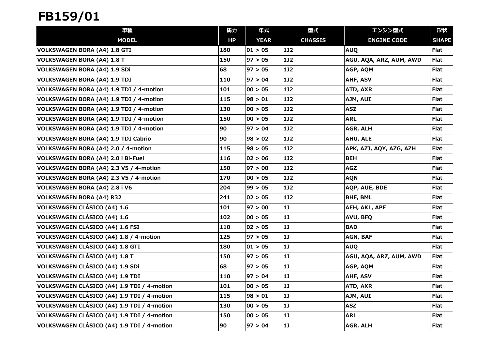| 車種                                         | 馬力  | 年式          | 型式             | エンジン型式                  | 形状           |
|--------------------------------------------|-----|-------------|----------------|-------------------------|--------------|
| <b>MODEL</b>                               | HP  | <b>YEAR</b> | <b>CHASSIS</b> | <b>ENGINE CODE</b>      | <b>SHAPE</b> |
| VOLKSWAGEN BORA (A4) 1.8 GTI               | 180 | 01 > 05     | 1J2            | <b>AUQ</b>              | Flat         |
| VOLKSWAGEN BORA (A4) 1.8 T                 | 150 | 97 > 05     | <b>1J2</b>     | AGU, AQA, ARZ, AUM, AWD | <b>Flat</b>  |
| VOLKSWAGEN BORA (A4) 1.9 SDi               | 68  | 97 > 05     | 1J2            | AGP, AQM                | <b>Flat</b>  |
| VOLKSWAGEN BORA (A4) 1.9 TDI               | 110 | 97 > 04     | 1J2            | AHF, ASV                | <b>Flat</b>  |
| VOLKSWAGEN BORA (A4) 1.9 TDI / 4-motion    | 101 | 00 > 05     | <b>1J2</b>     | ATD, AXR                | Flat         |
| VOLKSWAGEN BORA (A4) 1.9 TDI / 4-motion    | 115 | 98 > 01     | 132            | AJM, AUI                | Flat         |
| VOLKSWAGEN BORA (A4) 1.9 TDI / 4-motion    | 130 | 00 > 05     | <b>1J2</b>     | <b>ASZ</b>              | <b>Flat</b>  |
| VOLKSWAGEN BORA (A4) 1.9 TDI / 4-motion    | 150 | 00 > 05     | <b>1J2</b>     | <b>ARL</b>              | <b>Flat</b>  |
| VOLKSWAGEN BORA (A4) 1.9 TDI / 4-motion    | 90  | 97 > 04     | 1J2            | AGR, ALH                | <b>Flat</b>  |
| VOLKSWAGEN BORA (A4) 1.9 TDI Cabrio        | 90  | 98 > 02     | 1J2            | AHU, ALE                | Flat         |
| VOLKSWAGEN BORA (A4) 2.0 / 4-motion        | 115 | 98 > 05     | <b>1J2</b>     | APK, AZJ, AQY, AZG, AZH | Flat         |
| VOLKSWAGEN BORA (A4) 2.0 i Bi-Fuel         | 116 | 02 > 06     | <b>1J2</b>     | <b>BEH</b>              | <b>Flat</b>  |
| VOLKSWAGEN BORA (A4) 2.3 V5 / 4-motion     | 150 | 97 > 00     | <b>1J2</b>     | <b>AGZ</b>              | <b>Flat</b>  |
| VOLKSWAGEN BORA (A4) 2.3 V5 / 4-motion     | 170 | 00 > 05     | <b>1J2</b>     | <b>AQN</b>              | Flat         |
| VOLKSWAGEN BORA (A4) 2.8 i V6              | 204 | 99 > 05     | 1J2            | AQP, AUE, BDE           | <b>Flat</b>  |
| VOLKSWAGEN BORA (A4) R32                   | 241 | 02 > 05     | <b>1J2</b>     | <b>BHF, BML</b>         | <b>Flat</b>  |
| VOLKSWAGEN CLÁSICO (A4) 1.6                | 101 | 97>00       | 1J             | AEH, AKL, APF           | <b>Flat</b>  |
| VOLKSWAGEN CLÁSICO (A4) 1.6                | 102 | 00 > 05     | 1J             | AVU, BFQ                | <b>Flat</b>  |
| VOLKSWAGEN CLÁSICO (A4) 1.6 FSI            | 110 | 02 > 05     | 1J             | <b>BAD</b>              | <b>Flat</b>  |
| VOLKSWAGEN CLÁSICO (A4) 1.8 / 4-motion     | 125 | 97 > 05     | 1J             | AGN, BAF                | Flat         |
| VOLKSWAGEN CLÁSICO (A4) 1.8 GTI            | 180 | 01 > 05     | $1J$           | <b>AUQ</b>              | <b>Flat</b>  |
| VOLKSWAGEN CLÁSICO (A4) 1.8 T              | 150 | 97>05       | 1J             | AGU, AQA, ARZ, AUM, AWD | <b>Flat</b>  |
| VOLKSWAGEN CLÁSICO (A4) 1.9 SDi            | 68  | 97>05       | 1J             | AGP, AQM                | <b>Flat</b>  |
| VOLKSWAGEN CLÁSICO (A4) 1.9 TDI            | 110 | 97>04       | 1J             | AHF, ASV                | <b>Flat</b>  |
| VOLKSWAGEN CLÁSICO (A4) 1.9 TDI / 4-motion | 101 | 00 > 05     | 1J             | <b>ATD, AXR</b>         | Flat         |
| VOLKSWAGEN CLÁSICO (A4) 1.9 TDI / 4-motion | 115 | 98 > 01     | 1]             | AJM, AUI                | <b>Flat</b>  |
| VOLKSWAGEN CLÁSICO (A4) 1.9 TDI / 4-motion | 130 | 00 > 05     | 1J             | <b>ASZ</b>              | Flat         |
| VOLKSWAGEN CLÁSICO (A4) 1.9 TDI / 4-motion | 150 | 00 > 05     | 1J             | <b>ARL</b>              | Flat         |
| VOLKSWAGEN CLÁSICO (A4) 1.9 TDI / 4-motion | 90  | 97>04       | $1J$           | AGR, ALH                | <b>Flat</b>  |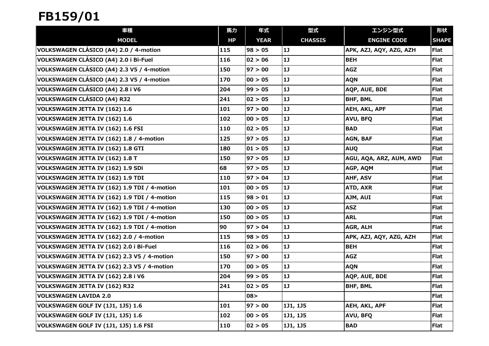| 車種                                           | 馬力  | 年式          | 型式             | エンジン型式                  | 形状           |
|----------------------------------------------|-----|-------------|----------------|-------------------------|--------------|
| <b>MODEL</b>                                 | HP  | <b>YEAR</b> | <b>CHASSIS</b> | <b>ENGINE CODE</b>      | <b>SHAPE</b> |
| VOLKSWAGEN CLÁSICO (A4) 2.0 / 4-motion       | 115 | 98 > 05     | 1J             | APK, AZJ, AQY, AZG, AZH | Flat         |
| VOLKSWAGEN CLÁSICO (A4) 2.0 i Bi-Fuel        | 116 | 02 > 06     | 1J             | <b>BEH</b>              | <b>Flat</b>  |
| VOLKSWAGEN CLÁSICO (A4) 2.3 V5 / 4-motion    | 150 | 97 > 00     | 1J             | <b>AGZ</b>              | <b>Flat</b>  |
| VOLKSWAGEN CLÁSICO (A4) 2.3 V5 / 4-motion    | 170 | 00 > 05     | 1]             | <b>AQN</b>              | <b>Flat</b>  |
| VOLKSWAGEN CLÁSICO (A4) 2.8 i V6             | 204 | 99 > 05     | 1J             | AQP, AUE, BDE           | <b>Flat</b>  |
| VOLKSWAGEN CLÁSICO (A4) R32                  | 241 | 02 > 05     | 1J             | <b>BHF, BML</b>         | <b>Flat</b>  |
| VOLKSWAGEN JETTA IV (162) 1.6                | 101 | 97>00       | 1J             | AEH, AKL, APF           | <b>Flat</b>  |
| VOLKSWAGEN JETTA IV (162) 1.6                | 102 | 00 > 05     | 1J             | AVU, BFQ                | <b>Flat</b>  |
| VOLKSWAGEN JETTA IV (162) 1.6 FSI            | 110 | 02 > 05     | 1]             | <b>BAD</b>              | <b>Flat</b>  |
| VOLKSWAGEN JETTA IV (162) 1.8 / 4-motion     | 125 | 97>05       | 1]             | AGN, BAF                | <b>Flat</b>  |
| VOLKSWAGEN JETTA IV (162) 1.8 GTI            | 180 | 01 > 05     | 1J             | <b>AUQ</b>              | <b>Flat</b>  |
| VOLKSWAGEN JETTA IV (162) 1.8 T              | 150 | 97>05       | 1J             | AGU, AQA, ARZ, AUM, AWD | <b>Flat</b>  |
| VOLKSWAGEN JETTA IV (162) 1.9 SDi            | 68  | 97 > 05     | 1J             | AGP, AQM                | <b>Flat</b>  |
| VOLKSWAGEN JETTA IV (162) 1.9 TDI            | 110 | 97 > 04     | 1J             | AHF, ASV                | <b>Flat</b>  |
| VOLKSWAGEN JETTA IV (162) 1.9 TDI / 4-motion | 101 | 00 > 05     | 1]             | ATD, AXR                | <b>Flat</b>  |
| VOLKSWAGEN JETTA IV (162) 1.9 TDI / 4-motion | 115 | 98 > 01     | 1]             | AJM, AUI                | <b>Flat</b>  |
| VOLKSWAGEN JETTA IV (162) 1.9 TDI / 4-motion | 130 | 00 > 05     | 1J             | <b>ASZ</b>              | <b>Flat</b>  |
| VOLKSWAGEN JETTA IV (162) 1.9 TDI / 4-motion | 150 | 00 > 05     | 1]             | <b>ARL</b>              | <b>Flat</b>  |
| VOLKSWAGEN JETTA IV (162) 1.9 TDI / 4-motion | 90  | 97 > 04     | 1J             | AGR, ALH                | <b>Flat</b>  |
| VOLKSWAGEN JETTA IV (162) 2.0 / 4-motion     | 115 | 98 > 05     | 1J             | APK, AZJ, AQY, AZG, AZH | <b>Flat</b>  |
| VOLKSWAGEN JETTA IV (162) 2.0 i Bi-Fuel      | 116 | 02 > 06     | 1J             | <b>BEH</b>              | <b>Flat</b>  |
| VOLKSWAGEN JETTA IV (162) 2.3 V5 / 4-motion  | 150 | 97>00       | 1J             | <b>AGZ</b>              | <b>Flat</b>  |
| VOLKSWAGEN JETTA IV (162) 2.3 V5 / 4-motion  | 170 | 00 > 05     | 1J             | <b>AQN</b>              | <b>Flat</b>  |
| VOLKSWAGEN JETTA IV (162) 2.8 i V6           | 204 | 99 > 05     | 1J             | AQP, AUE, BDE           | <b>Flat</b>  |
| VOLKSWAGEN JETTA IV (162) R32                | 241 | 02 > 05     | 1J             | <b>BHF, BML</b>         | <b>Flat</b>  |
| VOLKSWAGEN LAVIDA 2.0                        |     | 08 >        |                |                         | <b>Flat</b>  |
| VOLKSWAGEN GOLF IV (1J1, 1J5) 1.6            | 101 | 97 > 00     | 1J1, 1J5       | AEH, AKL, APF           | <b>Flat</b>  |
| VOLKSWAGEN GOLF IV (1J1, 1J5) 1.6            | 102 | 00 > 05     | 1J1, 1J5       | AVU, BFQ                | <b>Flat</b>  |
| VOLKSWAGEN GOLF IV (1J1, 1J5) 1.6 FSI        | 110 | 02 > 05     | 1J1, 1J5       | <b>BAD</b>              | <b>Flat</b>  |